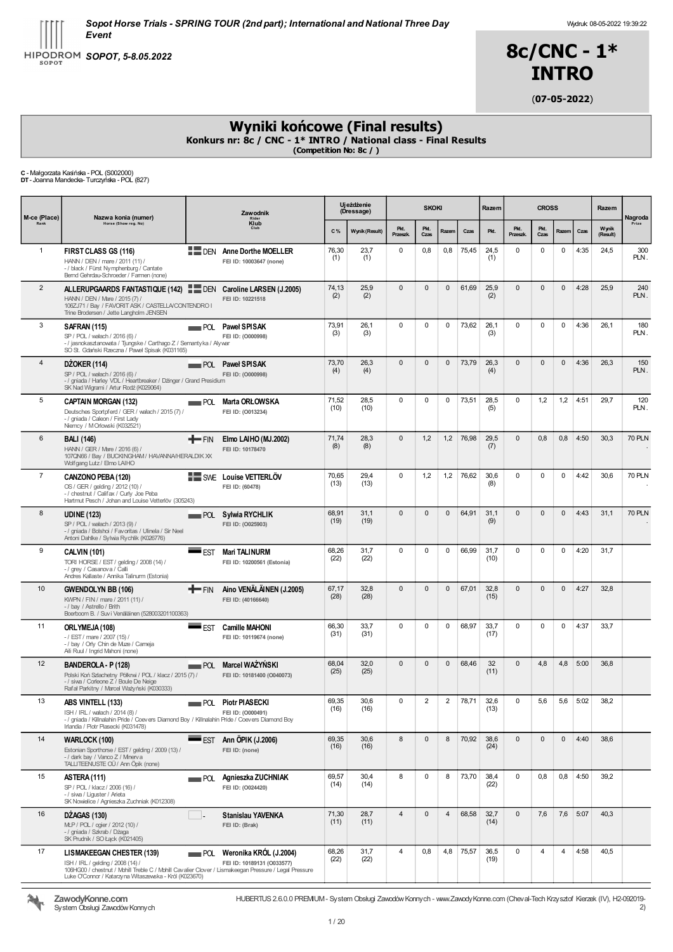

Wydruk: 08-05-2022 19:39:22



(07-05-2022)

# Wyniki końcowe (Final results)

Konkurs nr: 8c / CNC - 1\* INTRO / National class - Final Results<br>(Competition No: 8c / )

C - Małgorzata Kasińska - POL (S002000) DT- Joanna Mandecka- Turczyńska - POL (827)

| M-ce (Place)   | Nazwa konia (numer)                                                                                                                                                                                                                       |              | Zawodnik                                                      | Ujeżdżenie<br><b>SKOKI</b><br>(Dressage) |                | Razem                   | <b>CROSS</b>   |                |       |              | Razem            | Nagroda      |              |      |                   |               |
|----------------|-------------------------------------------------------------------------------------------------------------------------------------------------------------------------------------------------------------------------------------------|--------------|---------------------------------------------------------------|------------------------------------------|----------------|-------------------------|----------------|----------------|-------|--------------|------------------|--------------|--------------|------|-------------------|---------------|
|                | Horse (Show reg. No)                                                                                                                                                                                                                      |              | Rider<br>Klub<br>Club                                         | C%                                       | Wynik (Result) | Pkt.<br><b>Przeszk.</b> | Pkt.<br>Czas   | Razem          | Czas  | Pkt.         | Pkt.<br>Przeszk. | Pkt.<br>Czas | Razem        | Czas | Wynik<br>(Result) |               |
| $\mathbf{1}$   | FIRST CLASS GS (116)<br>HANN / DEN / mare / 2011 (11) /<br>- / black / Fürst Nymphenburg / Cantate<br>Bernd Gehrdau-Schroeder / Farmen (none)                                                                                             |              | <b>EMPLOEN</b> Anne Dorthe MOELLER<br>FEI ID: 10003647 (none) | 76,30<br>(1)                             | 23,7<br>(1)    | 0                       | 0,8            | 0,8            | 75,45 | 24,5<br>(1)  | 0                | 0            | 0            | 4:35 | 24,5              | 300<br>PLN.   |
| $\overline{2}$ | ALLERUPGAARDS FANTASTIQUE (142)<br>HANN / DEN / Mare / 2015 (7) /<br>106ZJ71 / Bay / FAVORIT ASK / CASTELLA/CONTENDRO I<br>Trine Brodersen / Jette Langholm JENSEN                                                                        |              | DEN Caroline LARSEN (J.2005)<br>FEI ID: 10221518              | 74,13<br>(2)                             | 25,9<br>(2)    | $\mathbf{0}$            | 0              | $\mathbf{0}$   | 61,69 | 25,9<br>(2)  | $\mathbf{0}$     | 0            | 0            | 4:28 | 25,9              | 240<br>PLN.   |
| 3              | <b>SAFRAN (115)</b><br>SP / POL / wałach / 2016 (6) /<br>- / jasnokasztanowata / Tjungske / Carthago Z / Semantyka / Alywar<br>SO St. Gdański Rzeczna / Paweł Spisak (K031165)                                                            | POL          | <b>Pawel SPISAK</b><br>FEI ID: (0000998)                      | 73,91<br>(3)                             | 26,1<br>(3)    | 0                       | 0              | 0              | 73,62 | 26,1<br>(3)  | $\mathbf 0$      | 0            | $\mathbf 0$  | 4:36 | 26,1              | 180<br>PLN.   |
| $\overline{4}$ | <b>DZOKER (114)</b><br>SP / POL / wałach / 2016 (6) /<br>- / gniada / Harley VDL / Heartbreaker / Dänger / Grand Presidium<br>SK Nad Wigrami / Artur Rodź (K029064)                                                                       |              | POL Pawel SPISAK<br>FEI ID: (0000998)                         | 73,70<br>(4)                             | 26,3<br>(4)    | $\mathbf{0}$            | $\mathbf 0$    | $\mathbf 0$    | 73,79 | 26,3<br>(4)  | $\mathbf 0$      | 0            | $\mathbf{0}$ | 4:36 | 26,3              | 150<br>PLN.   |
| 5              | <b>CAPTAIN MORGAN (132)</b><br>Deutsches Sportpferd / GER / walach / 2015 (7) /<br>- / gniada / Caleon / First Lady<br>Niemcy / M Orlowski (K032521)                                                                                      | POL          | Marta ORŁOWSKA<br>FEI ID: (0013234)                           | 71,52<br>(10)                            | 28,5<br>(10)   | 0                       | 0              | 0              | 73,51 | 28,5<br>(5)  | $\mathbf 0$      | 1,2          | 1,2          | 4:51 | 29,7              | 120<br>PLN.   |
| 6              | <b>BALI</b> (146)<br>HANN / GER / Mare / 2016 (6) /<br>107QN66 / Bay / BUCKINGHAM / HAVANNA/HERALDIK XX<br>Wolfgang Lutz / Elmo LAIHO                                                                                                     | <b>T</b> FIN | Elmo LAIHO (MJ.2002)<br>FEI ID: 10178470                      | 71,74<br>(8)                             | 28,3<br>(8)    | $\mathbf{0}$            | 1,2            | 1,2            | 76,98 | 29,5<br>(7)  | $\mathbf 0$      | 0,8          | 0,8          | 4:50 | 30,3              | <b>70 PLN</b> |
| $\overline{7}$ | CANZONO PEBA (120)<br>OS / GER / gelding / 2012 (10) /<br>- / chestnut / Califax / Curly Joe Peba<br>Hartmut Pesch / Johan and Louise Vetterlöv (305243)                                                                                  |              | SWE Louise VETTERLÖV<br>FEI ID: (60478)                       | 70,65<br>(13)                            | 29,4<br>(13)   | 0                       | 1,2            | 1,2            | 76,62 | 30,6<br>(8)  | $\mathbf 0$      | 0            | 0            | 4:42 | 30,6              | <b>70 PLN</b> |
| 8              | <b>UDINE (123)</b><br>SP / POL / wałach / 2013 (9) /<br>- / gniada / Bolshoi / Favoritas / Ulinela / Sir Neel<br>Antoni Dahlke / Sylwia Rychlik (K026776)                                                                                 |              | POL Sylwia RYCHLIK<br>FEI ID: (0025903)                       | 68,91<br>(19)                            | 31,1<br>(19)   | $\mathbf{0}$            | $\mathbf{0}$   | $\mathbf{0}$   | 64,91 | 31,1<br>(9)  | $\mathbf 0$      | $\pmb{0}$    | $\mathbf{0}$ | 4:43 | 31,1              | <b>70 PLN</b> |
| 9              | <b>CALVIN (101)</b><br>TORI HORSE / EST / gelding / 2008 (14) /<br>- / grey / Casanova / Calli<br>Andres Kallaste / Annika Talinum (Estonia)                                                                                              | EST          | <b>Mari TALINURM</b><br>FEI ID: 10200561 (Estonia)            | 68,26<br>(22)                            | 31,7<br>(22)   | $\mathbf 0$             | 0              | 0              | 66,99 | 31,7<br>(10) | $\mathbf 0$      | 0            | $\mathbf 0$  | 4:20 | 31,7              |               |
| 10             | GWENDOLYN BB (106)<br>KWPN / FIN / mare / 2011 (11) /<br>- / bay / Astrello / Brith<br>Boerboom B. / Suvi Venäläinen (528003201100363)                                                                                                    | <b>T</b> FIN | Aino VENALAINEN (J.2005)<br>FEI ID: (40166640)                | 67,17<br>(28)                            | 32,8<br>(28)   | $\mathbf{0}$            | 0              | $\mathbf{0}$   | 67,01 | 32,8<br>(15) | $\mathbf 0$      | 0            | $\mathbf{0}$ | 4:27 | 32,8              |               |
| 11             | ORLYMEJA (108)<br>- / EST / mare / 2007 (15) /<br>- / bay / Orly Chin de Muze / Cameja<br>Aili Ruul / Ingrid Mahoni (none)                                                                                                                | EST          | <b>Camille MAHONI</b><br>FEI ID: 10119674 (none)              | 66,30<br>(31)                            | 33,7<br>(31)   | 0                       | 0              | 0              | 68,97 | 33,7<br>(17) | 0                | 0            | 0            | 4:37 | 33,7              |               |
| 12             | BANDEROLA - P (128)<br>Polski Koń Szlachetny Półkrwi / POL / klacz / 2015 (7) /<br>- / siwa / Corleone Z / Boule De Neige<br>Rafał Parkitny / Marcel Ważyński (K030333)                                                                   | POL          | Marcel WAŻYŃSKI<br>FEI ID: 10181400 (O040073)                 | 68.04<br>(25)                            | 32,0<br>(25)   | $\mathbf{0}$            | $\mathbf{0}$   | $\mathbf{0}$   | 68,46 | 32<br>(11)   | $\mathbf 0$      | 4,8          | 4,8          | 5:00 | 36,8              |               |
| 13             | ABS VINTELL (133)<br>ISH / IRL / wałach / 2014 (8) /<br>- / gniada / Killnalahin Pride / Coevers Diamond Boy / Killnalahin Pride / Coevers Diamond Boy<br>Irlandia / Piotr Piasecki (K031478)                                             |              | POL Piotr PIASECKI<br>FEI ID: (0000491)                       | 69,35<br>(16)                            | 30,6<br>(16)   | $\Omega$                | $\overline{2}$ | $\overline{2}$ | 78,71 | 32,6<br>(13) | $\Omega$         | 5,6          | 5,6          | 5:02 | 38.2              |               |
| 14             | WARLOCK (100)<br>Estonian Sporthorse / EST / gelding / 2009 (13) /<br>-/ dark bay / Vanco Z / Minerva<br>TALLITEENUSTE OÜ / Ann Öpik (none)                                                                                               |              | $\equiv$ EST Ann ÖPIK (J.2006)<br>FEI ID: (none)              | 69,35<br>(16)                            | 30,6<br>(16)   | 8                       | $\mathbf{0}$   | 8              | 70,92 | 38,6<br>(24) | $\mathbf 0$      | 0            | $\mathbf{0}$ | 4:40 | 38,6              |               |
| 15             | ASTERA (111)<br>SP / POL / klacz / 2006 (16) /<br>- / siwa / Liguster / Arieta<br>SK Nowielice / Agnieszka Zuchniak (K012308)                                                                                                             |              | POL Agnieszka ZUCHNIAK<br>FEI ID: (0024420)                   | 69,57<br>(14)                            | 30,4<br>(14)   | 8                       | 0              | 8              | 73,70 | 38,4<br>(22) | $\mathbf 0$      | 0,8          | 0,8          | 4:50 | 39,2              |               |
| 16             | DZAGAS (130)<br>MLP / POL / ogier / 2012 (10) /<br>- / gniada / Szkrab / Dżaga<br>SK Prudnik / SO Łąck (K021405)                                                                                                                          |              | Stanislau YAVENKA<br>FEI ID: (Brak)                           | 71,30<br>(11)                            | 28,7<br>(11)   | $\overline{4}$          | $\mathbf{0}$   | 4              | 68,58 | 32,7<br>(14) | $\mathbf{0}$     | 7,6          | 7,6          | 5:07 | 40,3              |               |
| 17             | <b>LISMAKEEGAN CHESTER (139)</b><br>ISH / IRL / gelding / 2008 (14) /<br>106HG00 / chestnut / Mohill Treble C / Mohill Cavalier Clover / Lismakeegan Pressure / Legal Pressure<br>Luke O'Connor / Katarzy na Witaszewska - Król (K023670) |              | POL Weronika KRÓL (J.2004)<br>FEI ID: 10189131 (O033577)      | 68,26<br>(22)                            | 31,7<br>(22)   | 4                       | 0,8            | 4,8            | 75,57 | 36,5<br>(19) | 0                | 4            | 4            | 4:58 | 40,5              |               |



ZawodyKonne.com System Obsługi Zawodów Konnych HUBERTUS 2.6.0.0 PREMIUM- System Obsługi ZawodówKonnych - www.ZawodyKonne.com (Cheval-Tech Krzysztof Kierzek (IV), H2-092019-  $\frac{1}{2}$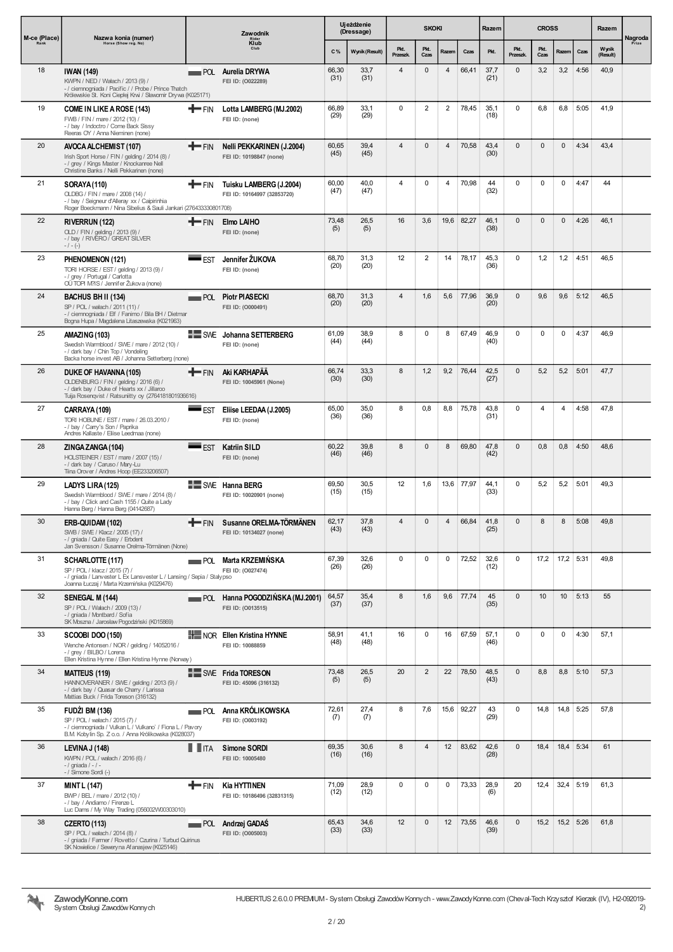| M-ce (Place) | Nazwa konia (numer)                                                                                                                                                             |                                   | Zawodnik                                                    |               | Ujeżdżenie<br>(Dressage) |                  | <b>SKOKI</b>   |                |            | Razem        |                  | <b>CROSS</b> |              |             | Razem             | Nagroda |
|--------------|---------------------------------------------------------------------------------------------------------------------------------------------------------------------------------|-----------------------------------|-------------------------------------------------------------|---------------|--------------------------|------------------|----------------|----------------|------------|--------------|------------------|--------------|--------------|-------------|-------------------|---------|
| Rank         | Horse (Show reg. No)                                                                                                                                                            |                                   | Rider<br>Klub<br>Club                                       | C%            | Wynik (Result)           | Pkt.<br>Przeszk. | Pkt.<br>Czas   | Razem          | Czas       | Pkt.         | Pkt.<br>Przeszk. | Pkt.<br>Czas | Razem        | Czas        | Wynik<br>(Result) | Prize   |
| 18           | <b>IWAN (149)</b><br>KWPN / NED / Wałach / 2013 (9) /<br>- / ciemnogniada / Pacific / / Probe / Prince Thatch<br>Królewskie St. Koni Ciepłej Krwi / Sławomir Drywa (K025171)    |                                   | POL Aurelia DRYWA<br>FEI ID: (0022289)                      | 66,30<br>(31) | 33,7<br>(31)             | 4                | 0              | $\overline{4}$ | 66,41      | 37,7<br>(21) | $\mathbf{0}$     | 3,2          | 3,2          | 4:56        | 40,9              |         |
| 19           | <b>COME IN LIKE A ROSE (143)</b><br>FWB / FIN / mare / 2012 (10) /<br>- / bay / Indoctro / Come Back Sissy<br>Reeras OY / Anna Nieminen (none)                                  | +FIN                              | Lotta LAMBERG (MJ.2002)<br>FEI ID: (none)                   | 66,89<br>(29) | 33,1<br>(29)             | $\mathbf 0$      | $\overline{2}$ | $\overline{2}$ | 78,45      | 35,1<br>(18) | $\mathbf 0$      | 6,8          | 6,8          | 5:05        | 41,9              |         |
| 20           | AVOCA ALCHEMIST (107)<br>Irish Sport Horse / FIN / gelding / 2014 (8) /<br>- / grey / Kings Master / Knockanree Nell<br>Christine Banks / Nelli Pekkarinen (none)               | <b>T</b> FIN                      | <b>Nelli PEKKARINEN (J.2004)</b><br>FEI ID: 10198847 (none) | 60,65<br>(45) | 39,4<br>(45)             | $\overline{4}$   | $\pmb{0}$      | $\overline{4}$ | 70,58      | 43,4<br>(30) | $\mathbf{0}$     | $\mathbf{0}$ | $\mathbf{0}$ | 4:34        | 43,4              |         |
| 21           | SORAYA (110)<br>OLDBG / FIN / mare / 2008 (14) /<br>- / bay / Seigneur d'Alleray xx / Caipirinhia<br>Roger Boeckmann / Nina Sibelius & Sauli Jankari (276433330801708)          | +FIN                              | Tuisku LAMBERG (J.2004)<br>FEI ID: 10164997 (32853720)      | 60,00<br>(47) | 40,0<br>(47)             | 4                | 0              | 4              | 70,98      | 44<br>(32)   | $\mathbf 0$      | 0            | $\mathbf 0$  | 4:47        | 44                |         |
| 22           | RIVERRUN (122)<br>OLD / FIN / gelding / 2013 (9) /<br>-/ bay / RIVERO / GREAT SILVER<br>$-/- (-)$                                                                               | <b>THE FIN</b>                    | Elmo LAIHO<br>FEI ID: (none)                                | 73,48<br>(5)  | 26,5<br>(5)              | 16               | 3,6            | 19,6           | 82,27      | 46.1<br>(38) | $\mathbf{0}$     | $\mathbf{0}$ | $\mathbf{0}$ | 4:26        | 46,1              |         |
| 23           | PHENOMENON (121)<br>TORI HORSE / EST / gelding / 2013 (9) /<br>- / arev / Portugal / Carlotta<br>OÜ TOPI M?IS / Jennifer Žukova (none)                                          | <b>EST</b>                        | Jennifer ŽUKOVA<br>FEI ID: (none)                           | 68,70<br>(20) | 31,3<br>(20)             | 12               | 2              | 14             | 78,17      | 45,3<br>(36) | $\mathbf 0$      | 1,2          | 1,2          | 4:51        | 46,5              |         |
| 24           | BACHUS BH II (134)<br>SP / POL / wałach / 2011 (11) /<br>- / ciemnogniada / Elf / Fanimo / Bila BH / Dietmar<br>Bogna Hupa / Magdalena Litaszewska (K021963)                    |                                   | POL Piotr PIASECKI<br>FEI ID: (0000491)                     | 68,70<br>(20) | 31,3<br>(20)             | 4                | 1,6            | 5,6            | 77,96      | 36,9<br>(20) | $\mathbf{0}$     | 9,6          | 9,6          | 5:12        | 46,5              |         |
| 25           | AMAZING (103)<br>Swedish Warmblood / SWE / mare / 2012 (10) /<br>- / dark bay / Chin Top / Vondeling<br>Backa horse invest AB / Johanna Setterberg (none)                       |                                   | SWE Johanna SETTERBERG<br>FEI ID: (none)                    | 61,09<br>(44) | 38,9<br>(44)             | 8                | $\pmb{0}$      | 8              | 67,49      | 46,9<br>(40) | $\mathbf 0$      | 0            | $\mathbf 0$  | 4:37        | 46,9              |         |
| 26           | DUKE OF HAVANNA (105)<br>OLDENBURG / FIN / gelding / 2016 (6) /<br>- / dark bay / Duke of Hearts xx / Jillaroo<br>Tuija Rosenqvist / Ratsuniitty oy (2764181801936616)          | $+$ FIN                           | Aki KARHAPÄÄ<br>FEI ID: 10045961 (None)                     | 66,74<br>(30) | 33,3<br>(30)             | 8                | 1,2            | 9,2            | 76,44      | 42,5<br>(27) | 0                | 5,2          | 5,2          | 5:01        | 47,7              |         |
| 27           | CARRAYA (109)<br>TORI HOBUNE / EST / mare / 26.03.2010 /<br>- / bay / Carry's Son / Paprika<br>Andres Kallaste / Eliise Leedmaa (none)                                          | <b>EST</b>                        | Eliise LEEDAA (J.2005)<br>FEI ID: (none)                    | 65,00<br>(36) | 35,0<br>(36)             | 8                | 0,8            | 8,8            | 75,78      | 43,8<br>(31) | $\mathbf 0$      | 4            | 4            | 4:58        | 47,8              |         |
| 28           | ZINGA ZANGA (104)<br>HOLSTEINER / EST / mare / 2007 (15) /<br>- / dark bay / Caruso / Mary-Lu<br>Tiina Orov er / Andres Hoop (EE233206507)                                      |                                   | EST Katriin SILD<br>FEI ID: (none)                          | 60,22<br>(46) | 39,8<br>(46)             | 8                | $\mathbf{0}$   | 8              | 69,80      | 47,8<br>(42) | $\mathbf{0}$     | 0,8          | 0,8          | 4:50        | 48,6              |         |
| 29           | LADYS LIRA (125)<br>Swedish Warmblood / SWE / mare / 2014 (8) /<br>- / bay / Click and Cash 1155 / Quite a Lady<br>Hanna Berg / Hanna Berg (04142687)                           |                                   | SWE Hanna BERG<br>FEI ID: 10020901 (none)                   | 69,50<br>(15) | 30,5<br>(15)             | 12               | 1,6            |                | 13,6 77,97 | 44,1<br>(33) | $\mathbf 0$      | 5,2          | 5,2          | 5:01        | 49,3              |         |
| 30           | ERB-QUIDAM (102)<br>SWB / SWE / Klacz / 2005 (17) /<br>- / gniada / Quite Easy / Erbdent<br>Jan Svensson / Susanne Orelma-Törmänen (None)                                       |                                   | FIN Susanne ORELMA-TÖRMÄNEN<br>FEI ID: 10134027 (none)      | 62,17<br>(43) | 37,8<br>(43)             | 4                | 0              | 4              | 66,84      | 41,8<br>(25) | $\mathbf{0}$     | 8            | 8            | 5:08        | 49,8              |         |
| 31           | <b>SCHARLOTTE (117)</b><br>SP / POL / klacz / 2015 (7) /<br>- / gniada / Lanvester L Ex Lansvester L / Lansing / Sepia / Stalypso<br>Joanna Łuczaj / Marta Krzemińska (K029476) |                                   | <b>POL Marta KRZEMIŃSKA</b><br>FEI ID: (0027474)            | 67,39<br>(26) | 32,6<br>(26)             | $\mathbf 0$      | 0              | $\mathbf 0$    | 72,52      | 32,6<br>(12) | $\mathbf 0$      | 17,2         | $17,2$ 5:31  |             | 49,8              |         |
| 32           | SENEGAL M (144)<br>SP / POL / Wałach / 2009 (13) /<br>- / gniada / Montbard / Sofia<br>SK Moszna / Jarosław Pogodziński (K015869)                                               |                                   | POL Hanna POGODZIŃSKA (MJ.2001)<br>FEI ID: (0013515)        | 64,57<br>(37) | 35,4<br>(37)             | 8                | 1,6            | 9,6            | 77,74      | 45<br>(35)   | $\mathbf{0}$     | 10           | 10           | 5:13        | 55                |         |
| 33           | <b>SCOOBI DOO (150)</b><br>Wenche Antonsen / NOR / gelding / 14052016 /<br>- / grey / BILBO / Lorena<br>Ellen Kristina Hynne / Ellen Kristina Hynne (Norway)                    |                                   | <b>HE NOR Ellen Kristina HYNNE</b><br>FEI ID: 10088859      | 58,91<br>(48) | 41,1<br>(48)             | 16               | 0              | 16             | 67,59      | 57,1<br>(46) | $\mathbf 0$      | 0            | $\mathbf 0$  | 4:30        | 57,1              |         |
| 34           | <b>MATTEUS (119)</b><br>HANNOVERANER / SWE / gelding / 2013 (9) /<br>- / dark bay / Quasar de Charry / Larissa<br>Mattias Buck / Frida Toreson (316132)                         |                                   | SWE Frida TORESON<br>FEI ID: 45096 (316132)                 | 73,48<br>(5)  | 26,5<br>(5)              | 20               | $\overline{2}$ | 22             | 78,50      | 48,5<br>(43) | $\mathbf{0}$     | 8,8          | 8,8          | 5:10        | 57,3              |         |
| 35           | <b>FUDZI BM (136)</b><br>SP / POL / walach / 2015 (7) /<br>- / ciemnogniada / Vulkan L / Vulkano' / Fiona L / Pavory<br>B.M. Kobylin Sp. Z o.o. / Anna Królikowska (K028037)    |                                   | <b>NATURA POL Anna KRÓLIKOWSKA</b><br>FEI ID: (0003192)     | 72,61<br>(7)  | 27,4<br>(7)              | 8                | 7,6            | 15,6           | 92,27      | 43<br>(29)   | $\mathbf 0$      | 14,8         | 14,8 5:25    |             | 57,8              |         |
| 36           | <b>LEVINA J (148)</b><br>KWPN / POL / wałach / 2016 (6) /<br>$-1$ gniada $1 - 1 -$<br>- / Simone Sordi (-)                                                                      | $\blacksquare$ $\blacksquare$ ITA | <b>Simone SORDI</b><br>FEI ID: 10005480                     | 69,35<br>(16) | 30,6<br>(16)             | 8                | $\overline{4}$ | 12             | 83,62      | 42,6<br>(28) | $\mathbf{0}$     | 18,4         |              | 18,4 5:34   | 61                |         |
| 37           | <b>MINT L (147)</b><br>BWP / BEL / mare / 2012 (10) /<br>- / bay / Andiamo / Firenze L<br>Luc Dams / My Way Trading (056002W00303010)                                           | +FIN                              | <b>Kia HYTTINEN</b><br>FEI ID: 10186496 (32831315)          | 71,09<br>(12) | 28,9<br>(12)             | $\mathbf 0$      | 0              | 0              | 73,33      | 28,9<br>(6)  | 20               | 12,4         |              | $32,4$ 5:19 | 61,3              |         |
| 38           | <b>CZERTO (113)</b><br>SP / POL / wałach / 2014 (8) /<br>- / gniada / Farmer / Rovetto / Czurina / Turbud Quirinus<br>SK Nowielice / Sewery na Afanasjew (K025146)              |                                   | <b>POL</b> Andrzej GADAŚ<br>FEI ID: (0005003)               | 65,43<br>(33) | 34,6<br>(33)             | 12               | $\pmb{0}$      | 12             | 73,55      | 46,6<br>(39) | $\mathbf 0$      | 15,2         |              | $15,2$ 5:26 | 61,8              |         |

2 / 20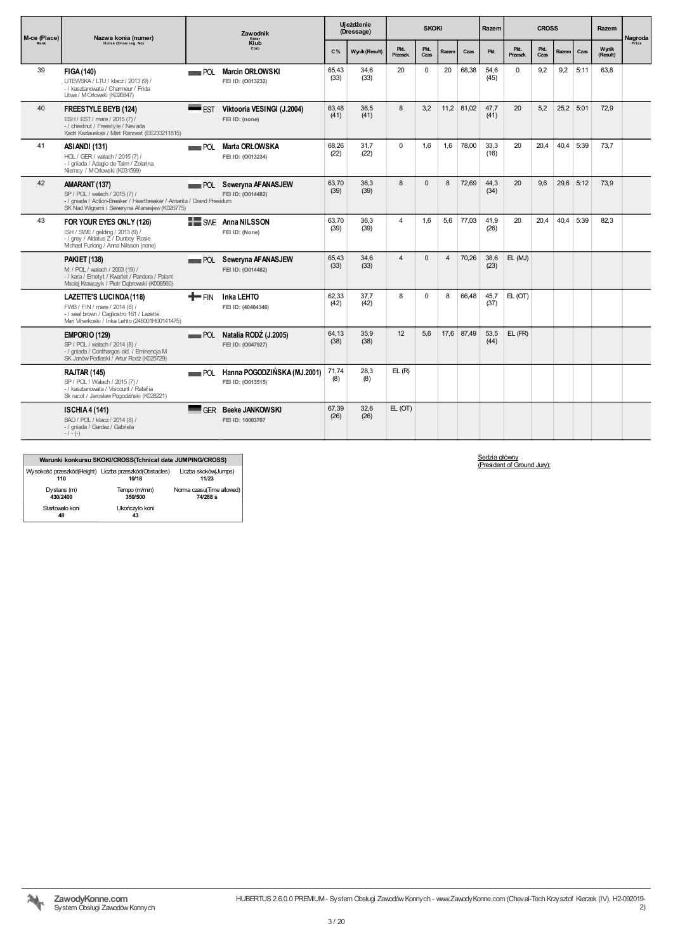| M-ce (Place) | Nazwa konia (numer)                                                                                                                                                       |               | <b>Zawodnik</b><br>Rider                           |               | Ujeżdżenie<br>(Dressage) |                  | <b>SKOKI</b> |       |            | Razem        |                  | <b>CROSS</b> |           |             | Razem             | Nagroda |
|--------------|---------------------------------------------------------------------------------------------------------------------------------------------------------------------------|---------------|----------------------------------------------------|---------------|--------------------------|------------------|--------------|-------|------------|--------------|------------------|--------------|-----------|-------------|-------------------|---------|
| Rank         | Horse (Show reg. No)                                                                                                                                                      |               | Klub                                               | C%            | Wynik (Result)           | Pkt.<br>Przeszk. | Pkt.<br>Czas | Razem | Czas       | Pkt.         | Pkt.<br>Przeszk. | Pkt.<br>Czas | Razem     | Czas        | Wynik<br>(Result) | Prize   |
| 39           | FIGA (140)<br>LITEWSKA / LTU / klacz / 2013 (9) /<br>- / kasztanowata / Charmeur / Frida<br>Litva / M Orlowski (K026847)                                                  |               | POL Marcin ORŁOWSKI<br>FEI ID: (0013232)           | 65,43<br>(33) | 34,6<br>(33)             | 20               | 0            | 20    | 68,38      | 54,6<br>(45) | $\Omega$         | 9,2          | 9,2       | 5:11        | 63,8              |         |
| 40           | <b>FREESTYLE BEYB (124)</b><br>ESH / EST / mare / 2015 (7) /<br>-/ chestnut / Freestyle / Nevada<br>Kadri Kazlauskas / Märt Rannast (EE233211815)                         | <b>EST</b>    | Viktooria VESINGI (J.2004)<br>FEI ID: (none)       | 63.48<br>(41) | 36.5<br>(41)             | 8                | 3.2          |       | 11,2 81,02 | 47.7<br>(41) | 20               | 5.2          | 25,2 5:01 |             | 72.9              |         |
| 41           | ASIANDI (131)<br>HOL / GER / wałach / 2015 (7) /<br>- / gniada / Adagio de Talm / Zolarina<br>Niemcy / M Orlowski (K031599)                                               | POL           | <b>Marta ORLOWSKA</b><br>FEI ID: (0013234)         | 68.26<br>(22) | 31.7<br>(22)             | $\Omega$         | 1.6          | 1.6   | 78.00      | 33.3<br>(16) | 20               | 20.4         |           | $40.4$ 5:39 | 73.7              |         |
| 42           | AMARANT (137)<br>SP / POL / wałach / 2015 (7) /<br>- / gniada / Action-Breaker / Heartbreaker / Amarita / Grand Presidum<br>SK Nad Wigrami / Seweryna Afanasjew (K026775) |               | <b>POL</b> Seweryna AFANASJEW<br>FEI ID: (0014482) | 63,70<br>(39) | 36,3<br>(39)             | 8                | $\mathbf{0}$ | 8     | 72,69      | 44,3<br>(34) | 20               | 9,6          |           | 29,6 5:12   | 73,9              |         |
| 43           | FOR YOUR EYES ONLY (126)<br>ISH / SWE / gelding / 2013 (9) /<br>- / grey / Aldatus Z / Dunboy Rosie<br>Mchael Furlong / Anna Nilsson (none)                               |               | SWE Anna NILSSON<br>FEI ID: (None)                 | 63.70<br>(39) | 36.3<br>(39)             | 4                | 1.6          | 5.6   | 77.03      | 41.9<br>(26) | 20               | 20.4         |           | $40.4$ 5:39 | 82.3              |         |
|              | <b>PAKIET (138)</b><br>M / POL / wałach / 2003 (19) /<br>- / kara / Emetyt / Kwartet / Pandora / Palant<br>Maciej Krawczyk / Piotr Dabrowski (K008560)                    |               | <b>POL</b> Seweryna AFANASJEW<br>FEI ID: (0014482) | 65,43<br>(33) | 34.6<br>(33)             | $\overline{4}$   | $\Omega$     | 4     | 70,26      | 38,6<br>(23) | EL (MJ)          |              |           |             |                   |         |
|              | LAZETTE'S LUCINDA (118)<br>FWB / FIN / mare / 2014 (8) /<br>- / seal brown / Cagliostro 161 / Lazette<br>Mari Viherkoski / Inka Lehto (246001H00141475)                   | <b>HITHER</b> | <b>Inka LEHTO</b><br>FEI ID: (40404346)            | 62,33<br>(42) | 37,7<br>(42)             | 8                | $\mathbf 0$  | 8     | 66,48      | 45,7<br>(37) | EL(OT)           |              |           |             |                   |         |
|              | EMPORIO (129)<br>SP / POL / wałach / 2014 (8) /<br>- / gniada / Conthargos old. / Eminencja M<br>SK Janów Podlaski / Artur Rodź (K025729)                                 |               | POL Natalia RODŹ (J.2005)<br>FEI ID: (0047927)     | 64.13<br>(38) | 35.9<br>(38)             | 12               | 5.6          |       | 17,6 87,49 | 53,5<br>(44) | EL (FR)          |              |           |             |                   |         |
|              | <b>RAJTAR (145)</b><br>SP / POL / Wałach / 2015 (7) /<br>-/ kasztanowata / Viscount / Ratafia<br>Sk racot / Jarosław Pogodziński (K028221)                                | POL           | Hanna POGODZIŃSKA (MJ.2001)<br>FEI ID: (0013515)   | 71,74<br>(8)  | 28,3<br>(8)              | EL(R)            |              |       |            |              |                  |              |           |             |                   |         |
|              | <b>ISCHIA 4 (141)</b><br>BAD / POL / klacz / 2014 (8) /<br>- / gniada / Gardez / Gabriela<br>$-/- (-)$                                                                    |               | <b>GER</b> Beeke JANKOWSKI<br>FEI ID: 10003707     | 67,39<br>(26) | 32,6<br>(26)             | EL(OT)           |              |       |            |              |                  |              |           |             |                   |         |

|                                                               | Warunki konkursu SKOKI/CROSS(Tchnical data JUMPING/CROSS) |                                       |
|---------------------------------------------------------------|-----------------------------------------------------------|---------------------------------------|
| Wysokość przeszkód(Height) Liczba przeszkód(Obstacles)<br>110 | 10/18                                                     | Liczba skoków(Jumps)<br>11/23         |
| Dystans (m)<br>430/2400                                       | Tempo (m/min)<br>350/500                                  | Norma czasu(Time allowed)<br>74/288 s |
| Startowało koni<br>48                                         | Ukończyło koni<br>43                                      |                                       |

Sędzia główny (President of Ground Jury):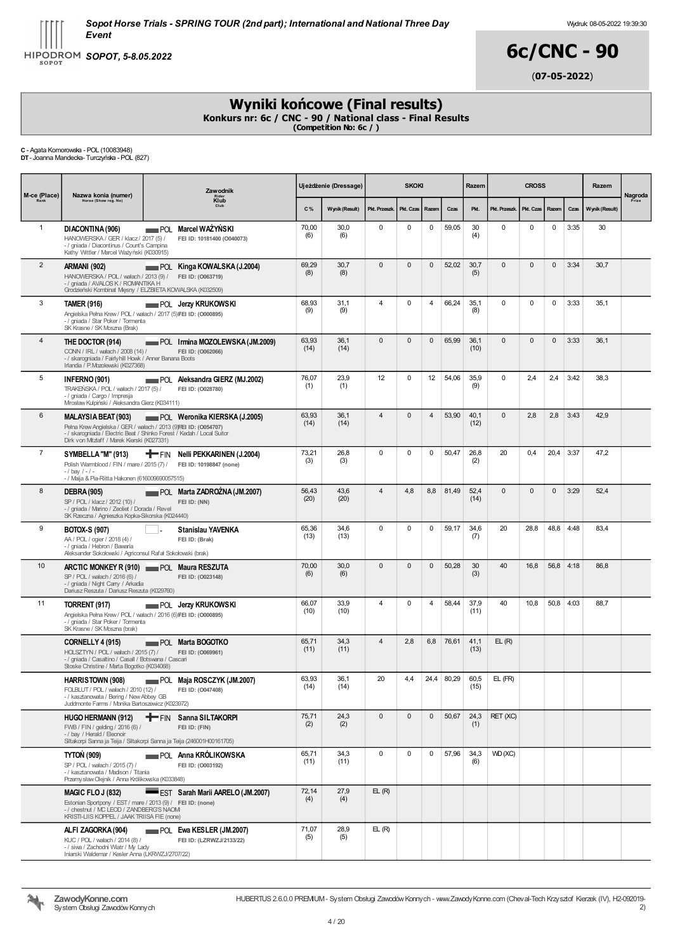HIPODROM SOPOT, 5-8.05.2022

# 6c/CNC - 90 (07-05-2022)

### Wyniki końcowe (Final results)

Konkurs nr: 6c / CNC - 90 / National class - Final Results (Competition No: 6c / )

C - Agata Komorowska - POL (10083948) DT- Joanna Mandecka- Turczyńska - POL (827)

| M-ce (Place)   | Nazwa konia (numer)                                                                                                                                                                                                    | Zawodnik<br>Klub |                                                          |               | <b>SKOKI</b><br>Ujeżdżenie (Dressage) |                |              |                |       | Razem        | <b>CROSS</b>  |              |              |             | Razem          | Nagroda<br>Prize |
|----------------|------------------------------------------------------------------------------------------------------------------------------------------------------------------------------------------------------------------------|------------------|----------------------------------------------------------|---------------|---------------------------------------|----------------|--------------|----------------|-------|--------------|---------------|--------------|--------------|-------------|----------------|------------------|
| Rank           | Horse (Show reg. No)                                                                                                                                                                                                   |                  |                                                          | C%            | Wynik (Result)                        | Pkt. Przeszk.  | Pkt. Czas    | Razem          | Czas  | Pkt.         | Pkt. Przeszk. | Pkt. Czas    | Razem        | Czas        | Wynik (Result) |                  |
| $\mathbf{1}$   | DIACONTINA (906)<br>HANOWERSKA / GER / klacz / 2017 (5) /<br>- / gniada / Diacontinus / Count's Campina<br>Kathy Wittler / Marcel Ważyński (K030915)                                                                   | POL              | Marcel WAŻYŃSKI<br>FEI ID: 10181400 (O040073)            | 70,00<br>(6)  | 30,0<br>(6)                           | $\mathbf 0$    | 0            | 0              | 59,05 | 30<br>(4)    | $\mathbf 0$   | 0            | 0            | 3:35        | 30             |                  |
| $\overline{2}$ | ARMANI (902)<br>HANOWERSKA / POL / wałach / 2013 (9) / FEI ID: (0063719)<br>- / gniada / AVALOS K / ROMANTIKA H<br>Grodzieński Kombinat Męsny / ELZBIETA KOWALSKA (K032509)                                            |                  | POL Kinga KOWALSKA (J.2004)                              | 69,29<br>(8)  | 30,7<br>(8)                           | $\mathbf{0}$   | $\pmb{0}$    | $\mathbf 0$    | 52,02 | 30,7<br>(5)  | $\mathbf{0}$  | $\mathbf{0}$ | $\mathsf 0$  | 3:34        | 30,7           |                  |
| 3              | <b>TAMER (916)</b><br>Angielska Pełna Krew / POL / wałach / 2017 (5) FEI ID: (0000895)<br>- / gniada / Star Poker / Tormenta<br>SK Krasne / SK Moszna (Brak)                                                           |                  | <b>NOL Jerzy KRUKOWSKI</b>                               | 68,93<br>(9)  | 31,1<br>(9)                           | $\overline{4}$ | 0            | $\overline{4}$ | 66,24 | 35,1<br>(8)  | $\mathbf 0$   | $\mathbf 0$  | $\mathbf 0$  | 3:33        | 35,1           |                  |
| $\overline{4}$ | THE DOCTOR (914)<br>CONN / IRL / wałach / 2008 (14) /<br>- / skarogniada / Fairlyhill Howk / Anner Banana Boots<br>Irlandia / P.Mozolewski (K027368)                                                                   |                  | POL Irmina MOZOLEWSKA (JM.2009)<br>FEI ID: (0062066)     | 63,93<br>(14) | 36,1<br>(14)                          | $\mathbf{0}$   | $\pmb{0}$    | $\mathbf 0$    | 65,99 | 36,1<br>(10) | $\mathbf{0}$  | $\mathbf{0}$ | $\mathsf 0$  | 3:33        | 36,1           |                  |
| 5              | INFERNO (901)<br>TRAKEŃSKA / POL / wałach / 2017 (5) /<br>- / gniada / Cargo / Impresja<br>Mrosław Kulpiński / Aleksandra Gierz (K034111)                                                                              |                  | POL Aleksandra GIERZ (MJ.2002)<br>FEI ID: (0028780)      | 76,07<br>(1)  | 23,9<br>(1)                           | 12             | 0            | 12             | 54,06 | 35,9<br>(9)  | $\mathbf 0$   | 2,4          | 2,4          | 3:42        | 38,3           |                  |
| 6              | <b>MALAYSIA BEAT (903)</b><br>Pełna Krew Angielska / GER / wałach / 2013 (9) FEI ID: (0054707)<br>- / skarogniada / Electric Beat / Shinko Forest / Kedah / Local Suitor<br>Dirk von Mtzlaff / Marek Kierski (K027331) |                  | POL Weronika KIERSKA (J.2005)                            | 63,93<br>(14) | 36,1<br>(14)                          | $\overline{4}$ | 0            | $\overline{4}$ | 53,90 | 40,1<br>(12) | $\mathbf{0}$  | 2,8          | 2,8          | 3:43        | 42,9           |                  |
| $\overline{7}$ | SYMBELLA "M" (913)<br>Polish Warmblood / FIN / mare / 2015 (7) /<br>$-1$ bay $1 - 1 -$<br>- / Maija & Pia-Riitta Hakonen (616009690057515)                                                                             |                  | FIN Nelli PEKKARINEN (J.2004)<br>FEI ID: 10198847 (none) | 73,21<br>(3)  | 26,8<br>(3)                           | $\mathbf 0$    | 0            | $\mathbf 0$    | 50,47 | 26,8<br>(2)  | 20            | 0.4          | 20,4         | 3:37        | 47,2           |                  |
| 8              | <b>DEBRA (905)</b><br>SP / POL / klacz / 2012 (10) /<br>- / gniada / Marino / Zeoliet / Dorada / Revel<br>SK Rzeczna / Agnieszka Kopka-Sikorska (K024440)                                                              |                  | POL Marta ZADROZNA (JM.2007)<br>FEI ID: (NN)             | 56,43<br>(20) | 43,6<br>(20)                          | $\overline{4}$ | 4,8          | 8,8            | 81,49 | 52,4<br>(14) | $\mathbf{0}$  | $\mathbf{0}$ | $\mathbf{0}$ | 3:29        | 52,4           |                  |
| 9              | <b>BOTOX-S (907)</b><br>AA / POL / ogier / 2018 (4) /<br>- / gniada / Hebron / Bawaria<br>Aleksander Sokołowski / Agriconsul Rafał Sokołowski (brak)                                                                   |                  | <b>Stanislau YAVENKA</b><br>FEI ID: (Brak)               | 65,36<br>(13) | 34,6<br>(13)                          | $\Omega$       | 0            | 0              | 59,17 | 34,6<br>(7)  | 20            | 28,8         | 48,8         | 4:48        | 83,4           |                  |
| 10             | ARCTIC MONKEY R (910) POL Maura RESZUTA<br>SP / POL / wałach / 2016 (6) /<br>- / gniada / Night Carry / Arkadia<br>Dariusz Reszuta / Dariusz Reszuta (K029760)                                                         |                  | FEI ID: (0023148)                                        | 70,00<br>(6)  | 30,0<br>(6)                           | $\mathbf{0}$   | $\pmb{0}$    | $\mathbf{0}$   | 50,28 | 30<br>(3)    | 40            | 16,8         |              | $56,8$ 4:18 | 86,8           |                  |
| 11             | TORRENT (917)<br>Angielska Pełna Krew / POL / wałach / 2016 (6) FEI ID: (0000895)<br>- / gniada / Star Poker / Tormenta<br>SK Krasne / SK Moszna (brak)                                                                |                  | <b>POL</b> Jerzy KRUKOWSKI                               | 66,07<br>(10) | 33,9<br>(10)                          | $\overline{4}$ | 0            | 4              | 58,44 | 37,9<br>(11) | 40            | 10,8         | 50,8         | 4:03        | 88,7           |                  |
|                | <b>CORNELLY 4 (915)</b><br>HOLSZTYN / POL / wałach / 2015 (7) /<br>- / gniada / Casaltino / Casall / Botswana / Cascari<br>Stoske Christine / Marta Bogotko (K034068)                                                  |                  | POL Marta BOGOTKO<br>FEI ID: (0069961)                   | 65,71<br>(11) | 34,3<br>(11)                          | $\overline{4}$ | 2,8          | 6,8            | 76,61 | 41,1<br>(13) | EL(R)         |              |              |             |                |                  |
|                | HARRISTOWN (908)<br>FOLBLUT / POL / wałach / 2010 (12) /<br>- / kasztanowata / Bering / New Abbey GB<br>Juddmonte Farms / Monika Bartoszewicz (K023972)                                                                |                  | POL Maja ROSCZYK (JM.2007)<br>FEI ID: (0047408)          | 63,93<br>(14) | 36,1<br>(14)                          | 20             | 4,4          | 24,4           | 80,29 | 60,5<br>(15) | EL (FR)       |              |              |             |                |                  |
|                | <b>HUGO HERMANN (912)</b><br>FWB / FIN / gelding / 2016 (6) /<br>- / bay / Herald / Eleonoir<br>Siltakorpi Sanna ja Teija / Siltakorpi Sanna ja Teija (246001H00161705)                                                |                  | <b>T</b> FIN Sanna SILTAKORPI<br>FEI ID: (FIN)           | 75,71<br>(2)  | 24,3<br>(2)                           | $\Omega$       | $\mathbf{0}$ | $\mathbf 0$    | 50,67 | 24,3<br>(1)  | RET (XC)      |              |              |             |                |                  |
|                | TYTON (909)<br>SP / POL / wałach / 2015 (7) /<br>- / kasztanowata / Madison / Titania<br>Przemysław Olejnik / Anna Królikowska (K033848)                                                                               |                  | <b>NATURA POL Anna KRÓLIKOWSKA</b><br>FEI ID: (0003192)  | 65,71<br>(11) | 34,3<br>(11)                          | $\mathbf 0$    | 0            | $\mathbf 0$    | 57,96 | 34,3<br>(6)  | VVD (XC)      |              |              |             |                |                  |
|                | MAGIC FLOJ (832)<br>Estonian Sportpony / EST / mare / 2013 (9) / FEI ID: (none)<br>-/ chestnut / MC LEOD / ZANDBERG'S NAOM<br>KRISTI-LIIS KOPPEL / JAAK TRIISA FIE (none)                                              |                  | EST Sarah Marii AARELO (JM.2007)                         | 72,14<br>(4)  | 27,9<br>(4)                           | EL(R)          |              |                |       |              |               |              |              |             |                |                  |
|                | ALFI ZAGORKA (904)<br>KUC / POL / wałach / 2014 (8) /<br>- / siwa / Zachodni Wiatr / My Lady<br>Iniarski Waldemar / Kesler Anna (LKRWZJ/2707/22)                                                                       |                  | POL Ewa KESLER (JM.2007)<br>FEI ID: (LZRWZJ/2133/22)     | 71,07<br>(5)  | 28,9<br>(5)                           | EL(R)          |              |                |       |              |               |              |              |             |                |                  |

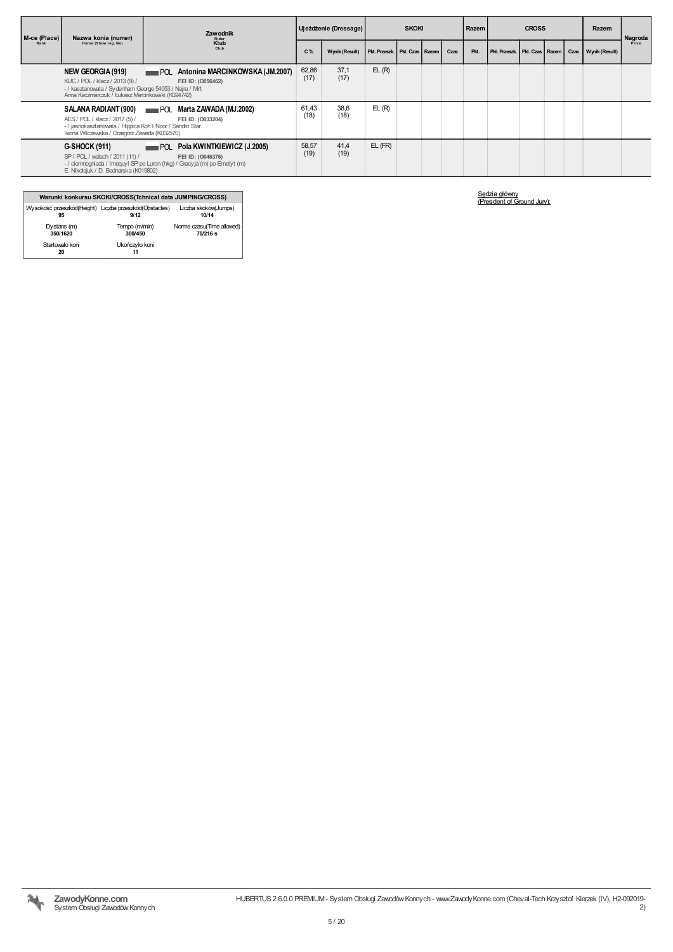| M-ce (Place) | Nazwa konia (numer)                                                                                                                                                | Zawodnik<br>Rider                                                                                                                  |               | Ujeżdżenie (Dressage) | <b>SKOKI</b>                      |  |  |      | <b>CROSS</b><br>Razem |                                  |  | Razem | Nagroda             |       |
|--------------|--------------------------------------------------------------------------------------------------------------------------------------------------------------------|------------------------------------------------------------------------------------------------------------------------------------|---------------|-----------------------|-----------------------------------|--|--|------|-----------------------|----------------------------------|--|-------|---------------------|-------|
| Rank         | Horse (Show reg. No)                                                                                                                                               | Klub<br>Club                                                                                                                       | C%            | <b>Wynik (Result)</b> | Pkt. Przeszk.   Pkt. Czas   Razem |  |  | Czas | Pkt.                  | Pkt. Przeszk   Pkt. Czas   Razem |  |       | Czas Wynik (Result) | Prize |
|              | NEW GEORGIA (919)<br>KUC / POL / klacz / 2013 (9) /<br>- / kasztanowata / Sydenham George 54053 / Najra / Mirt<br>Anna Kaczmarczuk / Łukasz Marcinkowski (K024742) | Antonina MARCINKOWSKA (JM.2007)<br>POL<br>FEI ID: (0056462)                                                                        | 62,86<br>(17) | 37.1<br>(17)          | EL(R)                             |  |  |      |                       |                                  |  |       |                     |       |
|              | AES / POL / klacz / 2017 (5) /<br>- / jasnokasztanowata / Hippica Koh I Noor / Sandro Star<br>Iwona Wilczewska / Grzegorz Zawada (K032570)                         | SALANA RADIANT (900) POL Marta ZAWADA (MJ.2002)<br>FEI ID: (0033204)                                                               | 61,43<br>(18) | 38,6<br>(18)          | EL(R)                             |  |  |      |                       |                                  |  |       |                     |       |
|              | <b>G-SHOCK (911)</b><br>SP / POL / walach / 2011 (11) /<br>E. Nikołajuk / D. Bednarska (K019802)                                                                   | Pola KWINTKIEWICZ (J.2005)<br>POL<br>FEI ID: (0046376)<br>- / ciemnogniada / Imequyl SP po Luron (hkg) / Gracyja (m) po Emetyt (m) | 58,57<br>(19) | 41,4<br>(19)          | $EL$ ( $FR$ )                     |  |  |      |                       |                                  |  |       |                     |       |

#### Warunki konkursu SKOKI/CROSS(Tchnical data JUMPING/CROSS) Wysokość przeszkód(Height) 95 Liczba przeszkód(Obstacles) 9/12 Liczba skoków(Jumps) 10/14 Dystans (m) 350/1620 Tempo (m/min) 300/450 Norma czasu(Time allowed) 70/216 s Startowało koni 20 Ukończyło koni 11

Sędzia główny (President of Ground Jury):

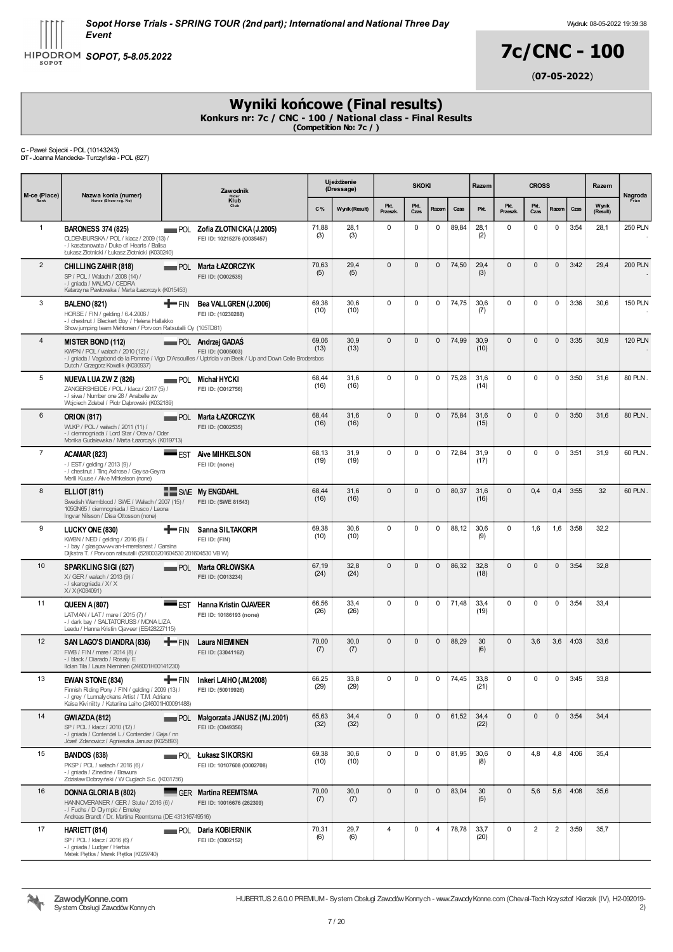HIPODROM SOPOT, 5-8.05.2022

# 7c/CNC - 100

(07-05-2022)

## Wyniki końcowe (Final results)

Konkurs nr: 7c / CNC - 100 / National class - Final Results<br>(Competition No: 7c / )

C - Paweł Sojecki - POL (10143243) DT- Joanna Mandecka- Turczyńska - POL (827)

| M-ce (Place)   | Nazwa konia (numer)                                                                                                                                                             | <b>Zawodnik</b><br>Ride:<br>Klub |                                                                                                                                                           |               | Ujeżdżenie<br>(Dressage) |                  | <b>SKOKI</b> |              |                     | Razem        | <b>CROSS</b>     |                |              | Razem              | Nagroda           |                |
|----------------|---------------------------------------------------------------------------------------------------------------------------------------------------------------------------------|----------------------------------|-----------------------------------------------------------------------------------------------------------------------------------------------------------|---------------|--------------------------|------------------|--------------|--------------|---------------------|--------------|------------------|----------------|--------------|--------------------|-------------------|----------------|
| Rank           | Horse (Show reg. No)                                                                                                                                                            |                                  |                                                                                                                                                           | C%            | Wynik (Result)           | Pkt.<br>Przeszk. | Pkt.<br>Czas | Razem        | Czas                | Pkt.         | Pkt.<br>Przeszk. | Pkt.<br>Czas   | Razem        | Czas               | Wynik<br>(Result) | Prize          |
| $\mathbf{1}$   | <b>BARONESS 374 (825)</b><br>OLDENBURSKA / POL / klacz / 2009 (13) /<br>- / kasztanowata / Duke of Hearts / Balisa<br>Łukasz Złotnicki / Łukasz Złotnicki (K030240)             |                                  | POL Zofia ZŁOTNICKA (J.2005)<br>FEI ID: 10215276 (O035457)                                                                                                | 71,88<br>(3)  | 28,1<br>(3)              | 0                | 0            | 0            | 89,84               | 28,1<br>(2)  | 0                | $\mathbf 0$    | $\mathbf 0$  | 3:54               | 28,1              | <b>250 PLN</b> |
| $\overline{2}$ | CHILLING ZAHIR (818)<br>SP / POL / Wałach / 2008 (14) /<br>- / gniada / MALMO / CEDRA<br>Katarzyna Pawłowska / Marta Łazorczyk (K015453)                                        |                                  | POL Marta ŁAZORCZYK<br>FEI ID: (0002535)                                                                                                                  | 70,63<br>(5)  | 29,4<br>(5)              | $\mathbf{0}$     | $\mathbf{0}$ | $\Omega$     | 74,50               | 29,4<br>(3)  | $\mathbf{0}$     | $\mathbf{0}$   | $\mathbf{0}$ | 3:42               | 29,4              | <b>200 PLN</b> |
| 3              | <b>BALENO (821)</b><br>HORSE / FIN / gelding / 6.4.2006 /<br>- / chestnut / Bleckert Boy / Helena Hallakko<br>Show jumping team Mehtonen / Porvoon Ratsutalli Oy (105TD81)      | <b>T</b> FIN                     | Bea VALLGREN (J.2006)<br>FEI ID: (10230288)                                                                                                               | 69,38<br>(10) | 30,6<br>(10)             | $\mathbf 0$      | 0            | 0            | 74,75               | 30,6<br>(7)  | 0                | $\mathbf 0$    | $\mathbf 0$  | 3:36               | 30,6              | <b>150 PLN</b> |
| 4              | <b>MISTER BOND (112)</b><br>KWPN / POL / wałach / 2010 (12) /<br>Dutch / Grzegorz Kowalik (K030937)                                                                             |                                  | <b>POL</b> Andrzej GADAŚ<br>FEI ID: (0005003)<br>- / gniada / Vagabond de la Pomme / Vigo D'Arsouilles / Uptricia van Beek / Up and Down Celle Brodersbos | 69,06<br>(13) | 30,9<br>(13)             | $\Omega$         | $\mathbf{0}$ | $\mathbf{0}$ | 74,99               | 30,9<br>(10) | $\mathbf{0}$     | $\mathbf{0}$   | $\mathbf{0}$ | 3:35               | 30,9              | <b>120 PLN</b> |
| 5              | NUEVA LUA ZW Z (826)<br>ZANGERSHEIDE / POL / klacz / 2017 (5) /<br>- / siwa / Number one 28 / Anabelle zw<br>Wojciech Zdebel / Piotr Dabrowski (K032189)                        |                                  | <b>Nichał HYCKI</b><br>FEI ID: (0012756)                                                                                                                  | 68,44<br>(16) | 31,6<br>(16)             | $\Omega$         | 0            | $\mathbf 0$  | 75,28               | 31,6<br>(14) | 0                | $\mathbf 0$    | $\mathbf 0$  | 3:50               | 31,6              | 80 PLN         |
| 6              | <b>ORION (817)</b><br>WLKP / POL / wałach / 2011 (11) /<br>- / ciemnogniada / Lord Star / Orava / Oder<br>Monika Gudalewska / Marta Łazorczyk (K019713)                         |                                  | POL Marta ŁAZORCZYK<br>FEI ID: (0002535)                                                                                                                  | 68,44<br>(16) | 31,6<br>(16)             | $\Omega$         | $\mathbf{0}$ | $\mathbf{0}$ | 75,84               | 31,6<br>(15) | $\mathbf{0}$     | $\mathbf{0}$   | $\mathbf{0}$ | 3:50               | 31,6              | 80 PLN.        |
| $\overline{7}$ | ACAMAR (823)<br>$-$ / EST / gelding / 2013 (9) /<br>- / chestnut / Ting AxIrose / Geysa-Geyra<br>Merili Kuuse / Aive Mhkelson (none)                                            |                                  | <b>EST Aive MIHKELSON</b><br>FEI ID: (none)                                                                                                               | 68,13<br>(19) | 31,9<br>(19)             | $\mathbf 0$      | 0            | 0            | 72,84               | 31,9<br>(17) | 0                | $\mathbf 0$    | $\mathbf 0$  | 3:51               | 31,9              | 60 PLN         |
| 8              | <b>ELLIOT (811)</b><br>Swedish Warmblood / SWE / Wałach / 2007 (15) /<br>105GN65 / ciemnogniada / Etrusco / Leona<br>Ingvar Nilsson / Disa Ottosson (none)                      |                                  | SWE My ENGDAHL<br>FEI ID: (SWE 81543)                                                                                                                     | 68.44<br>(16) | 31,6<br>(16)             | $\Omega$         | $\mathbf{0}$ | $\Omega$     | 80,37               | 31,6<br>(16) | $\mathbf{0}$     | 0,4            | 0,4          | 3:55               | 32                | 60 PLN.        |
| 9              | LUCKY ONE (830)<br>KWBN / NED / gelding / 2016 (6) /<br>- / bay / glasgow-w-v an-t-merelsnest / Garsina<br>Dijkstra T. / Porvoon ratsutalli (528003201604530 201604530 VB W)    | $+$ FIN                          | Sanna SILTAKORPI<br>FEI ID: (FIN)                                                                                                                         | 69.38<br>(10) | 30,6<br>(10)             | $\Omega$         | 0            | 0            | 88,12               | 30,6<br>(9)  | 0                | 1,6            | 1,6          | 3:58               | 32,2              |                |
| 10             | <b>SPARKLING SIGI (827)</b><br>X/ GER / wałach / 2013 (9) /<br>- / skarogniada / X/ X<br>X/ X (K034091)                                                                         |                                  | POL Marta ORŁOWSKA<br>FEI ID: (0013234)                                                                                                                   | 67,19<br>(24) | 32,8<br>(24)             | $\Omega$         | $\mathbf{0}$ | $\mathbf{0}$ | 86,32               | 32,8<br>(18) | $\mathbf{0}$     | $\mathbf 0$    | $\mathbf{0}$ | 3:54               | 32,8              |                |
| 11             | <b>QUEEN A (807)</b><br>LATVIAN / LAT / mare / 2015 (7) /<br>-/ dark bay / SALTATORUSS / MONA LIZA<br>Leedu / Hanna Kristin Ojaveer (EE428227115)                               |                                  | <b>EST Hanna Kristin OJAVEER</b><br>FEI ID: 10186193 (none)                                                                                               | 66,56<br>(26) | 33,4<br>(26)             | $\mathbf 0$      | 0            | 0            | 71,48               | 33,4<br>(19) | 0                | $\mathbf 0$    | 0            | 3:54               | 33,4              |                |
| 12             | SAN LAGO'S DIANDRA (836)<br>FWB / FIN / mare / 2014 (8) /<br>- / black / Diarado / Rosaly E<br>Ilolan Tila / Laura Nieminen (246001H00141230)                                   | <b>T</b> FIN                     | <b>Laura NIEMINEN</b><br>FEI ID: (33041162)                                                                                                               | 70,00<br>(7)  | 30,0<br>(7)              | $\mathbf{0}$     | $\mathbf{0}$ | $\mathbf{0}$ | 88,29               | 30<br>(6)    | 0                | 3,6            | 3,6          | 4:03               | 33,6              |                |
| 13             | EWAN STONE (834)<br>Finnish Riding Pony / FIN / gelding / 2009 (13) /<br>- / grey / Lunnaly ckans Artist / T.M. Adriane<br>Kaisa Kiviniitty / Katariina Laiho (246001H00091488) |                                  | FIN Inkeri LAIHO (JM.2008)<br>FEI ID: (50019926)                                                                                                          | 66,25<br>(29) | 33,8<br>(29)             | $\Omega$         | $\mathbf{0}$ |              | $0 \mid 74,45 \mid$ | 33,8<br>(21) | $\Omega$         | $\mathbf{0}$   |              | $0 \mid 3:45 \mid$ | 33,8              |                |
| 14             | GWIAZDA (812)<br>SP / POL / klacz / 2010 (12) /<br>- / gniada / Contendel L / Contender / Gaja / nn<br>Józef Zdanowicz / Agnieszka Janusz (K025893)                             | POL                              | Małgorzata JANUSZ (MJ.2001)<br>FEI ID: (0049356)                                                                                                          | 65,63<br>(32) | 34,4<br>(32)             | $\mathbf{0}$     | $\mathbf{0}$ | $\mathbf{0}$ | 61,52               | 34,4<br>(22) | $\mathbf{0}$     | $\mathbf 0$    | $\mathbf{0}$ | 3:54               | 34,4              |                |
| 15             | <b>BANDOS (838)</b><br>PKSP / POL / walach / 2016 (6) /<br>- / gniada / Zinedine / Brawura<br>Zdzisław Dobrzyński / W Cuglach S.c. (K031756)                                    |                                  | <b>POL</b> Lukasz SIKORSKI<br>FEI ID: 10107608 (O002708)                                                                                                  | 69,38<br>(10) | 30,6<br>(10)             | $\mathbf 0$      | 0            | 0            | 81,95               | 30,6<br>(8)  | 0                | 4,8            | 4,8          | 4:06               | 35.4              |                |
| 16             | DONNA GLORIA B (802)<br>HANNOVERANER / GER / Stute / 2016 (6) /<br>- / Fuchs / D Olympic / Emeley<br>Andreas Brandt / Dr. Martina Reemtsma (DE 431316749516)                    |                                  | GER Martina REEMTSMA<br>FEI ID: 10016676 (262309)                                                                                                         | 70,00<br>(7)  | 30,0<br>(7)              | $\Omega$         | $\mathbf{0}$ | $\mathbf{0}$ | 83,04               | 30<br>(5)    | $\mathbf{0}$     | 5,6            | 5,6          | 4:08               | 35,6              |                |
| 17             | HARIETT (814)<br>SP / POL / klacz / 2016 (6) /<br>- / gniada / Ludger / Herbia<br>Matek Piętka / Marek Piętka (K029740)                                                         |                                  | <b>POL Daria KOBIERNIK</b><br>FEI ID: (0002152)                                                                                                           | 70,31<br>(6)  | 29,7<br>(6)              | $\overline{4}$   | 0            | 4            | 78,78               | 33,7<br>(20) | 0                | $\overline{2}$ | 2            | 3:59               | 35,7              |                |

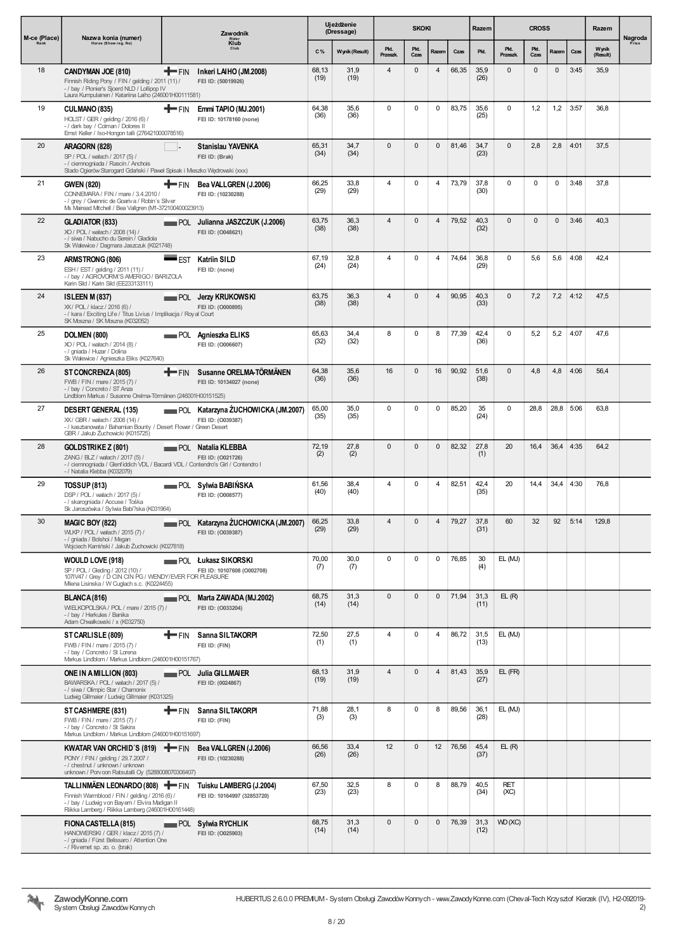| M-ce (Place) | Nazwa konia (numer)                                                                                                                                                                         |                | Zawodnik                                                 |               | Ujeżdżenie<br>(Dressage) |                  | <b>SKOKI</b> |                |       | Razem        |                    | <b>CROSS</b> |              |      | Razem             | Nagroda |
|--------------|---------------------------------------------------------------------------------------------------------------------------------------------------------------------------------------------|----------------|----------------------------------------------------------|---------------|--------------------------|------------------|--------------|----------------|-------|--------------|--------------------|--------------|--------------|------|-------------------|---------|
| Rank         | Horse (Show reg. No)                                                                                                                                                                        |                | Rider<br>Klub                                            | C%            | Wynik (Result)           | Pkt.<br>Przeszk. | Pkt.<br>Czas | Razem          | Czas  | Pkt.         | Pkt.<br>Przeszk.   | Pkt.<br>Czas | Razem        | Czas | Wynik<br>(Result) | Prize   |
| 18           | CANDYMAN JOE (810)<br>Finnish Riding Pony / FIN / gelding / 2011 (11) /<br>- / bay / Pionier's Sjoerd NLD / Lollipop IV<br>Laura Kumpulainen / Katariina Laiho (246001H00111581)            | <b>T</b> FIN   | Inkeri LAIHO (JM.2008)<br>FEI ID: (50019926)             | 68,13<br>(19) | 31,9<br>(19)             | $\overline{4}$   | $\mathbf{0}$ | $\overline{4}$ | 66,35 | 35,9<br>(26) | $\mathbf{0}$       | $\mathbf{0}$ | $\mathbf{0}$ | 3:45 | 35,9              |         |
| 19           | CULMANO (835)<br>HOLST / GER / gelding / 2016 (6) /<br>-/ dark bay / Colman / Dolores II<br>Ernst Keller / Iso-Hongon talli (276421000078516)                                               | +FIN           | Emmi TAPIO (MJ.2001)<br>FEI ID: 10178160 (none)          | 64,38<br>(36) | 35,6<br>(36)             | $\mathbf 0$      | $\mathbf 0$  | $\mathsf 0$    | 83,75 | 35,6<br>(25) | $\mathbf 0$        | 1,2          | 1,2          | 3:57 | 36,8              |         |
| 20           | ARAGORN (828)<br>SP / POL / wałach / 2017 (5) /<br>- / ciemnogniada / Rascin / Anchois<br>Stado Ogierów Starogard Gdański / Paweł Spisak i Meszko Wędrowski (xxx)                           |                | Stanislau YAVENKA<br>FEI ID: (Brak)                      | 65,31<br>(34) | 34,7<br>(34)             | $\mathbf{0}$     | $\mathbf{0}$ | $\mathbf{0}$   | 81,46 | 34,7<br>(23) | $\mathbf{0}$       | 2,8          | 2,8          | 4:01 | 37,5              |         |
| 21           | <b>GWEN (820)</b><br>CONNEMARA / FIN / mare / 3.4.2010 /<br>- / grey / Gwennic de Goariva / Robin's Silver<br>Ms Mairead Mtchell / Bea Vallgren (M1-372100400023913)                        | T FIN          | Bea VALLGREN (J.2006)<br>FEI ID: (10230288)              | 66,25<br>(29) | 33,8<br>(29)             | $\overline{4}$   | $\mathbf 0$  | 4              | 73,79 | 37,8<br>(30) | $\mathbf 0$        | $\mathbf 0$  | $\mathbf 0$  | 3:48 | 37,8              |         |
| 22           | GLADIATOR (833)<br>XO / POL / wałach / 2008 (14) /<br>- / siwa / Nabucho du Serein / Gladiola<br>Sk Walewice / Dagmara Jaszczuk (K021748)                                                   |                | FOL Julianna JASZCZUK (J.2006)<br>FEI ID: (0048621)      | 63,75<br>(38) | 36,3<br>(38)             | $\overline{4}$   | $\mathbf{0}$ | $\overline{4}$ | 79,52 | 40,3<br>(32) | $\mathbf{0}$       | $\mathbf{0}$ | $\mathbf{0}$ | 3:46 | 40,3              |         |
| 23           | ARMSTRONG (806)<br>ESH / EST / gelding / 2011 (11) /<br>-/bay / AGROVORM'S AMERIGO / BARIZOLA<br>Karin Sild / Karin Sild (EE233133111)                                                      | <b>EST</b>     | <b>Katriin SILD</b><br>FEI ID: (none)                    | 67,19<br>(24) | 32,8<br>(24)             | $\overline{4}$   | $\mathbf 0$  | $\overline{4}$ | 74,64 | 36,8<br>(29) | $\mathbf 0$        | 5,6          | 5,6          | 4:08 | 42,4              |         |
| 24           | <b>ISLEEN M (837)</b><br>XX/ POL / klacz / 2016 (6) /<br>- / kara / Exciting Life / Titus Livius / Implikacja / Royal Court<br>SK Moszna / SK Moszna (K032052)                              |                | <b>POL</b> Jerzy KRUKOWSKI<br>FEI ID: (0000895)          | 63,75<br>(38) | 36,3<br>(38)             | $\overline{4}$   | $\mathbf 0$  | $\overline{4}$ | 90,95 | 40,3<br>(33) | $\mathbf{0}$       | 7,2          | 7,2          | 4:12 | 47,5              |         |
| 25           | DOLMEN (800)<br>XO / POL / wałach / 2014 (8) /<br>- / gniada / Huzar / Dolina<br>Sk Walewice / Agnieszka Eliks (K027640)                                                                    |                | FOL Agnieszka ELIKS<br>FEI ID: (0006607)                 | 65,63<br>(32) | 34,4<br>(32)             | 8                | $\mathbf 0$  | 8              | 77,39 | 42,4<br>(36) | $\mathbf 0$        | 5,2          | 5,2          | 4:07 | 47,6              |         |
| 26           | ST CONCRENZA (805)<br>FWB / FIN / mare / 2015 (7) /<br>- / bay / Concreto / ST Anza<br>Lindblom Markus / Susanne Orelma-Törmänen (246001H00151525)                                          | $+$ FIN        | Susanne ORELMA-TÖRMÄNEN<br>FEI ID: 10134027 (none)       | 64,38<br>(36) | 35,6<br>(36)             | 16               | $\mathbf{0}$ | 16             | 90,92 | 51,6<br>(38) | $\mathbf{0}$       | 4,8          | 4,8          | 4:06 | 56,4              |         |
| 27           | <b>DESERT GENERAL (135)</b><br>XX/ GBR / wałach / 2008 (14) /<br>- / kasztanowata / Bahamian Bounty / Desert Flower / Green Desert<br>GBR / Jakub Żuchowicki (K015725)                      |                | POL Katarzyna ŻUCHOWICKA (JM.2007)<br>FEI ID: (0039387)  | 65,00<br>(35) | 35,0<br>(35)             | 0                | 0            | 0              | 85,20 | 35<br>(24)   | $\mathbf 0$        | 28,8         | 28,8 5:06    |      | 63,8              |         |
| 28           | GOLDSTRIKE Z (801)<br>ZANG / BLZ / wałach / 2017 (5) /<br>- / ciemnogniada / Glenfiddich VDL / Bacardi VDL / Contendro's Girl / Contendro I<br>- / Natalia Klebba (K032079)                 |                | POL Natalia KLEBBA<br>FEI ID: (0021726)                  | 72,19<br>(2)  | 27,8<br>(2)              | $\mathbf{0}$     | $\mathbf{0}$ | $\mathbf{0}$   | 82,32 | 27,8<br>(1)  | 20                 | 16,4         | 36,4 4:35    |      | 64,2              |         |
| 29           | <b>TOSSUP (813)</b><br>DSP / POL / wałach / 2017 (5) /<br>- / skarogniada / Accuse / Tośka<br>Sk Jaroszówka / Sylwia Babi?ska (K031964)                                                     |                | <b>POL</b> Sylwia BABINSKA<br>FEI ID: (0008577)          | 61,56<br>(40) | 38,4<br>(40)             | $\overline{4}$   | $\mathbf 0$  | 4              | 82,51 | 42,4<br>(35) | 20                 | 14,4         | $34,4$ 4:30  |      | 76,8              |         |
| 30           | MAGIC BOY (822)<br>WLKP / POL / wałach / 2015 (7) /<br>- / gniada / Bolshoi / Megan<br>Wojciech Kamiński / Jakub Żuchowicki (K027818)                                                       |                | POL Katarzyna ŻUCHOWICKA (JM.2007)<br>FEI ID: (0039387)  | 66,25<br>(29) | 33,8<br>(29)             | $\overline{4}$   | $\mathbf{0}$ | $\overline{4}$ | 79,27 | 37,8<br>(31) | 60                 | 32           | 92           | 5:14 | 129,8             |         |
|              | WOULD LOVE (918)<br>SP / POL / Gleding / 2012 (10) /<br>107IV47 / Grey / D CIN CIN PG / WENDY/EVER FOR PLEASURE<br>Mlena Lisinska / W Cuglach s.c. (K0224455)                               |                | <b>POL</b> Lukasz SIKORSKI<br>FEI ID: 10107608 (O002708) | 70,00<br>(7)  | 30,0<br>(7)              | $\mathbf 0$      | $\mathbf 0$  | $\mathbf 0$    | 76,85 | 30<br>(4)    | EL (MJ)            |              |              |      |                   |         |
|              | <b>BLANCA (816)</b><br>WIELKOPOLSKA / POL / mare / 2015 (7) /<br>- / bay / Herkules / Banika<br>Adam Chwałkowski / x (K032750)                                                              |                | POL Marta ZAWADA (MJ.2002)<br>FEI ID: (0033204)          | 68,75<br>(14) | 31,3<br>(14)             | $\mathbf{0}$     | $\mathbf{0}$ | $\mathbf 0$    | 71,94 | 31,3<br>(11) | EL(R)              |              |              |      |                   |         |
|              | ST CARLISLE (809)<br>FWB / FIN / mare / 2015 (7) /<br>- / bay / Concreto / St Lorena<br>Markus Lindblom / Markus Lindblom (246001H00151767)                                                 | <b>THE FIN</b> | Sanna SILTAKORPI<br>FEI ID: (FIN)                        | 72,50<br>(1)  | 27,5<br>(1)              | $\overline{4}$   | 0            | 4              | 86,72 | 31,5<br>(13) | EL (MJ)            |              |              |      |                   |         |
|              | ONE IN A MILLION (803)<br>BAWARSKA / POL / wałach / 2017 (5) /<br>- / siwa / Olimpic Star / Chamonix<br>Ludwig Gillmaier / Ludwig Gillmaier (K031325)                                       |                | <b>POL</b> Julia GILLMAIER<br>FEI ID: (0024867)          | 68,13<br>(19) | 31,9<br>(19)             | $\overline{4}$   | $\mathbf{0}$ | $\overline{4}$ | 81,43 | 35,9<br>(27) | EL (FR)            |              |              |      |                   |         |
|              | ST CASHMERE (831)<br>FWB / FIN / mare / 2015 (7) /<br>- / bay / Concreto / St Sakira<br>Markus Lindblom / Markus Lindblom (246001H00151697)                                                 | <b>T</b> FIN   | Sanna SILTAKORPI<br>FEI ID: (FIN)                        | 71,88<br>(3)  | 28,1<br>(3)              | 8                | $\mathbf 0$  | 8              | 89,56 | 36,1<br>(28) | EL (MJ)            |              |              |      |                   |         |
|              | KWATAR VAN ORCHID'S (819) $\blacktriangleright$ FIN<br>PONY / FIN / gelding / 29.7.2007 /<br>-/ chestnut / unknown / unknown<br>unknown / Porv con Ratsutalli Oy (5288008070306407)         |                | Bea VALLGREN (J.2006)<br>FEI ID: (10230288)              | 66,56<br>(26) | 33,4<br>(26)             | 12               | $\mathbf{0}$ | 12             | 76,56 | 45,4<br>(37) | EL(R)              |              |              |      |                   |         |
|              | TALLINMÄEN LEONARDO (808) THE FIN<br>Finnish Warmblood / FIN / gelding / 2016 (6) /<br>- / bay / Ludwig von Bayern / Elvira Madigan II<br>Riikka Lamberg / Riikka Lamberg (246001H00161448) |                | Tuisku LAMBERG (J.2004)<br>FEI ID: 10164997 (32853720)   | 67,50<br>(23) | 32,5<br>(23)             | 8                | $\mathbf 0$  | 8              | 88,79 | 40,5<br>(34) | <b>RET</b><br>(XC) |              |              |      |                   |         |
|              | FIONA CASTELLA (815)<br>HANOWERSKI / GER / klacz / 2015 (7) /<br>- / gniada / Fürst Belissaro / Attention One<br>- / Rivernet sp. zo. o. (brak)                                             |                | <b>POL Sylwia RYCHLIK</b><br>FEI ID: (0025903)           | 68,75<br>(14) | 31,3<br>(14)             | $\mathbf{0}$     | $\mathbf 0$  | $\pmb{0}$      | 76,39 | 31,3<br>(12) | WD (XC)            |              |              |      |                   |         |